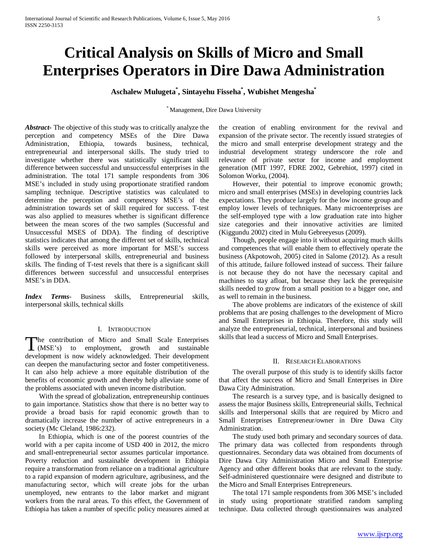# **Critical Analysis on Skills of Micro and Small Enterprises Operators in Dire Dawa Administration**

**Aschalew Mulugeta\* , Sintayehu Fisseha\* , Wubishet Mengesha\***

\* Management, Dire Dawa University

*Abstract***-** The objective of this study was to critically analyze the perception and competency MSEs of the Dire Dawa Administration, Ethiopia, towards business, technical, entrepreneurial and interpersonal skills. The study tried to investigate whether there was statistically significant skill difference between successful and unsuccessful enterprises in the administration. The total 171 sample respondents from 306 MSE's included in study using proportionate stratified random sampling technique. Descriptive statistics was calculated to determine the perception and competency MSE's of the administration towards set of skill required for success. T-test was also applied to measures whether is significant difference between the mean scores of the two samples (Successful and Unsuccessful MSES of DDA). The finding of descriptive statistics indicates that among the different set of skills, technical skills were perceived as more important for MSE's success followed by interpersonal skills, entrepreneurial and business skills. The finding of T-test revels that there is a significant skill differences between successful and unsuccessful enterprises MSE's in DDA.

*Index Terms*- Business skills, Entrepreneurial skills, interpersonal skills, technical skills

## I. INTRODUCTION

he contribution of Micro and Small Scale Enterprises The contribution of Micro and Small Scale Enterprises<br>
(MSE's) to employment, growth and sustainable development is now widely acknowledged. Their development can deepen the manufacturing sector and foster competitiveness. It can also help achieve a more equitable distribution of the benefits of economic growth and thereby help alleviate some of the problems associated with uneven income distribution.

 With the spread of globalization, entrepreneurship continues to gain importance. Statistics show that there is no better way to provide a broad basis for rapid economic growth than to dramatically increase the number of active entrepreneurs in a society (Mc Cleland, 1986:232).

 In Ethiopia, which is one of the poorest countries of the world with a per capita income of USD 400 in 2012, the micro and small-entrepreneurial sector assumes particular importance. Poverty reduction and sustainable development in Ethiopia require a transformation from reliance on a traditional agriculture to a rapid expansion of modern agriculture, agribusiness, and the manufacturing sector, which will create jobs for the urban unemployed, new entrants to the labor market and migrant workers from the rural areas. To this effect, the Government of Ethiopia has taken a number of specific policy measures aimed at the creation of enabling environment for the revival and expansion of the private sector. The recently issued strategies of the micro and small enterprise development strategy and the industrial development strategy underscore the role and relevance of private sector for income and employment generation (MIT 1997, FDRE 2002, Gebrehiot, 1997) cited in Solomon Worku, (2004).

 However, their potential to improve economic growth; micro and small enterprises (MSEs) in developing countries lack expectations. They produce largely for the low income group and employ lower levels of techniques. Many microenterprises are the self-employed type with a low graduation rate into higher size categories and their innovative activities are limited (Kiggundu 2002) cited in Mulu Gebreeyesus (2009).

 Though, people engage into it without acquiring much skills and competences that will enable them to effectively operate the business (Akpotowoh, 2005) cited in Salome (2012). As a result of this attitude, failure followed instead of success. Their failure is not because they do not have the necessary capital and machines to stay afloat, but because they lack the prerequisite skills needed to grow from a small position to a bigger one, and as well to remain in the business.

 The above problems are indicators of the existence of skill problems that are posing challenges to the development of Micro and Small Enterprises in Ethiopia. Therefore, this study will analyze the entrepreneurial, technical, interpersonal and business skills that lead a success of Micro and Small Enterprises.

### II. RESEARCH ELABORATIONS

 The overall purpose of this study is to identify skills factor that affect the success of Micro and Small Enterprises in Dire Dawa City Administration.

 The research is a survey type, and is basically designed to assess the major Business skills, Entrepreneurial skills, Technical skills and Interpersonal skills that are required by Micro and Small Enterprises Entrepreneur/owner in Dire Dawa City Administration.

 The study used both primary and secondary sources of data. The primary data was collected from respondents through questionnaires. Secondary data was obtained from documents of Dire Dawa City Administration Micro and Small Enterprise Agency and other different books that are relevant to the study. Self-administered questionnaire were designed and distribute to the Micro and Small Enterprises Entrepreneurs.

 The total 171 sample respondents from 306 MSE's included in study using proportionate stratified random sampling technique. Data collected through questionnaires was analyzed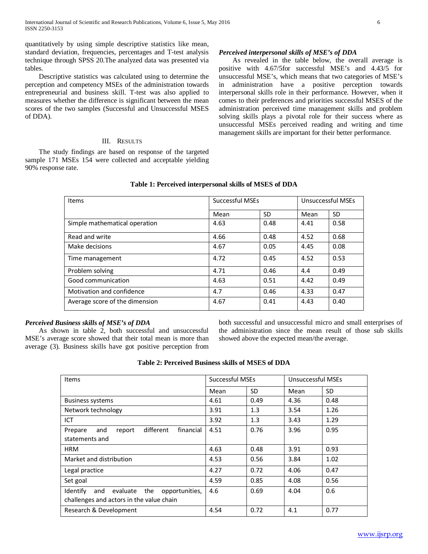quantitatively by using simple descriptive statistics like mean, standard deviation, frequencies, percentages and T-test analysis technique through SPSS 20.The analyzed data was presented via tables.

 Descriptive statistics was calculated using to determine the perception and competency MSEs of the administration towards entrepreneurial and business skill. T-test was also applied to measures whether the difference is significant between the mean scores of the two samples (Successful and Unsuccessful MSES of DDA).

## III. RESULTS

 The study findings are based on response of the targeted sample 171 MSEs 154 were collected and acceptable yielding 90% response rate.

## *Perceived interpersonal skills of MSE's of DDA*

 As revealed in the table below, the overall average is positive with 4.67/5for successful MSE's and 4.43/5 for unsuccessful MSE's, which means that two categories of MSE's in administration have a positive perception towards interpersonal skills role in their performance. However, when it comes to their preferences and priorities successful MSES of the administration perceived time management skills and problem solving skills plays a pivotal role for their success where as unsuccessful MSEs perceived reading and writing and time management skills are important for their better performance.

| <b>Items</b>                   | <b>Successful MSEs</b> |           | Unsuccessful MSEs |      |
|--------------------------------|------------------------|-----------|-------------------|------|
|                                | Mean                   | <b>SD</b> | Mean              | SD   |
| Simple mathematical operation  | 4.63                   | 0.48      | 4.41              | 0.58 |
| Read and write                 | 4.66                   | 0.48      | 4.52              | 0.68 |
| Make decisions                 | 4.67                   | 0.05      | 4.45              | 0.08 |
| Time management                | 4.72                   | 0.45      | 4.52              | 0.53 |
| Problem solving                | 4.71                   | 0.46      | 4.4               | 0.49 |
| Good communication             | 4.63                   | 0.51      | 4.42              | 0.49 |
| Motivation and confidence      | 4.7                    | 0.46      | 4.33              | 0.47 |
| Average score of the dimension | 4.67                   | 0.41      | 4.43              | 0.40 |

## **Table 1: Perceived interpersonal skills of MSES of DDA**

## *Perceived Business skills of MSE's of DDA*

 As shown in table 2, both successful and unsuccessful MSE's average score showed that their total mean is more than average (3). Business skills have got positive perception from both successful and unsuccessful micro and small enterprises of the administration since the mean result of those sub skills showed above the expected mean/the average.

| <b>Table 2: Perceived Business skills of MSES of DDA</b> |  |  |
|----------------------------------------------------------|--|--|
|----------------------------------------------------------|--|--|

| <b>Items</b>                                                                                     | <b>Successful MSEs</b> |      | Unsuccessful MSEs |      |
|--------------------------------------------------------------------------------------------------|------------------------|------|-------------------|------|
|                                                                                                  | Mean                   | SD.  | Mean              | SD.  |
| <b>Business systems</b>                                                                          | 4.61                   | 0.49 | 4.36              | 0.48 |
| Network technology                                                                               | 3.91                   | 1.3  | 3.54              | 1.26 |
| ICT                                                                                              | 3.92                   | 1.3  | 3.43              | 1.29 |
| different<br>financial<br>and<br>report<br>Prepare<br>statements and                             | 4.51                   | 0.76 | 3.96              | 0.95 |
| <b>HRM</b>                                                                                       | 4.63                   | 0.48 | 3.91              | 0.93 |
| Market and distribution                                                                          | 4.53                   | 0.56 | 3.84              | 1.02 |
| Legal practice                                                                                   | 4.27                   | 0.72 | 4.06              | 0.47 |
| Set goal                                                                                         | 4.59                   | 0.85 | 4.08              | 0.56 |
| Identify<br>the<br>evaluate<br>opportunities,<br>and<br>challenges and actors in the value chain | 4.6                    | 0.69 | 4.04              | 0.6  |
| Research & Development                                                                           | 4.54                   | 0.72 | 4.1               | 0.77 |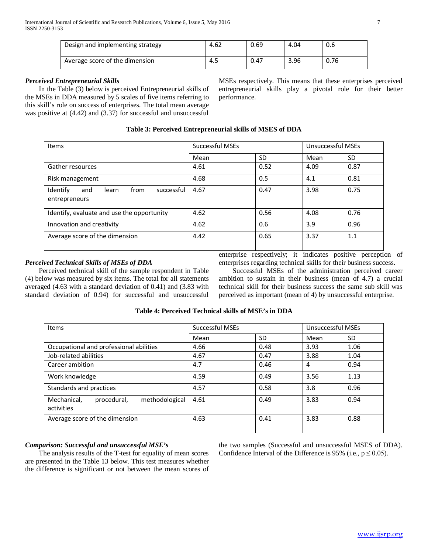| Design and implementing strategy | 4.62 | 0.69 | 4.04 | 0.6  |
|----------------------------------|------|------|------|------|
| Average score of the dimension   | 4.S  | 0.47 | 3.96 | 0.76 |

# *Perceived Entrepreneurial Skills*

 In the Table (3) below is perceived Entrepreneurial skills of the MSEs in DDA measured by 5 scales of five items referring to this skill's role on success of enterprises. The total mean average was positive at (4.42) and (3.37) for successful and unsuccessful

MSEs respectively. This means that these enterprises perceived entrepreneurial skills play a pivotal role for their better performance.

# **Table 3: Perceived Entrepreneurial skills of MSES of DDA**

| Items                                                           | Successful MSEs |           | <b>Unsuccessful MSEs</b> |           |
|-----------------------------------------------------------------|-----------------|-----------|--------------------------|-----------|
|                                                                 | Mean            | <b>SD</b> | Mean                     | <b>SD</b> |
| Gather resources                                                | 4.61            | 0.52      | 4.09                     | 0.87      |
| Risk management                                                 | 4.68            | 0.5       | 4.1                      | 0.81      |
| Identify<br>from<br>successful<br>learn<br>and<br>entrepreneurs | 4.67            | 0.47      | 3.98                     | 0.75      |
| Identify, evaluate and use the opportunity                      | 4.62            | 0.56      | 4.08                     | 0.76      |
| Innovation and creativity                                       | 4.62            | 0.6       | 3.9                      | 0.96      |
| Average score of the dimension                                  | 4.42            | 0.65      | 3.37                     | 1.1       |

# *Perceived Technical Skills of MSEs of DDA*

 Perceived technical skill of the sample respondent in Table (4) below was measured by six items. The total for all statements averaged (4.63 with a standard deviation of 0.41) and (3.83 with standard deviation of 0.94) for successful and unsuccessful

enterprise respectively; it indicates positive perception of enterprises regarding technical skills for their business success.

 Successful MSEs of the administration perceived career ambition to sustain in their business (mean of 4.7) a crucial technical skill for their business success the same sub skill was perceived as important (mean of 4) by unsuccessful enterprise.

# **Table 4: Perceived Technical skills of MSE's in DDA**

| Items                                                      | <b>Successful MSEs</b> |           | <b>Unsuccessful MSEs</b> |           |
|------------------------------------------------------------|------------------------|-----------|--------------------------|-----------|
|                                                            | Mean                   | <b>SD</b> | Mean                     | <b>SD</b> |
| Occupational and professional abilities                    | 4.66                   | 0.48      | 3.93                     | 1.06      |
| Job-related abilities                                      | 4.67                   | 0.47      | 3.88                     | 1.04      |
| Career ambition                                            | 4.7                    | 0.46      | 4                        | 0.94      |
| Work knowledge                                             | 4.59                   | 0.49      | 3.56                     | 1.13      |
| Standards and practices                                    | 4.57                   | 0.58      | 3.8                      | 0.96      |
| methodological<br>Mechanical.<br>procedural,<br>activities | 4.61                   | 0.49      | 3.83                     | 0.94      |
| Average score of the dimension                             | 4.63                   | 0.41      | 3.83                     | 0.88      |

# *Comparison: Successful and unsuccessful MSE's*

 The analysis results of the T-test for equality of mean scores are presented in the Table 13 below. This test measures whether the difference is significant or not between the mean scores of the two samples (Successful and unsuccessful MSES of DDA). Confidence Interval of the Difference is 95% (i.e.,  $p \le 0.05$ ).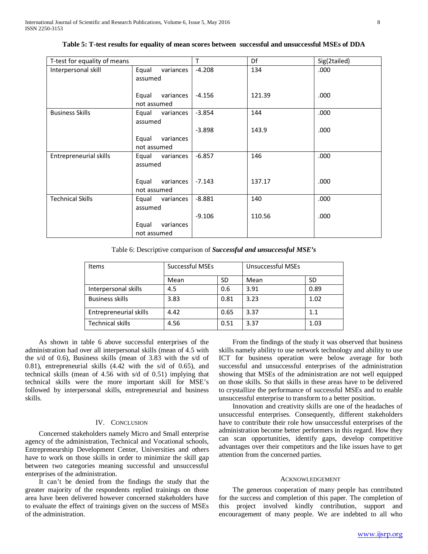| T-test for equality of means |                               | T        | Df     | Sig(2tailed) |
|------------------------------|-------------------------------|----------|--------|--------------|
| Interpersonal skill          | Equal<br>variances<br>assumed | $-4.208$ | 134    | .000         |
|                              | variances<br>Equal            | $-4.156$ | 121.39 | .000         |
|                              | not assumed                   |          |        |              |
| <b>Business Skills</b>       | Equal<br>variances            | $-3.854$ | 144    | .000         |
|                              | assumed                       |          |        |              |
|                              |                               | $-3.898$ | 143.9  | .000         |
|                              | Equal<br>variances            |          |        |              |
|                              | not assumed                   |          |        |              |
| Entrepreneurial skills       | Equal variances               | $-6.857$ | 146    | .000         |
|                              | assumed                       |          |        |              |
|                              | variances<br>Equal            | $-7.143$ | 137.17 | .000         |
|                              | not assumed                   |          |        |              |
| <b>Technical Skills</b>      | Equal<br>variances            | $-8.881$ | 140    | .000         |
|                              | assumed                       |          |        |              |
|                              |                               | $-9.106$ | 110.56 | .000         |
|                              | Equal<br>variances            |          |        |              |
|                              | not assumed                   |          |        |              |

**Table 5: T-test results for equality of mean scores between successful and unsuccessful MSEs of DDA**

Table 6: Descriptive comparison of *Successful and unsuccessful MSE's*

| <b>Items</b>            | <b>Successful MSEs</b> |      | <b>Unsuccessful MSEs</b> |      |
|-------------------------|------------------------|------|--------------------------|------|
|                         | Mean                   | SD   | Mean                     | SD   |
| Interpersonal skills    | 4.5                    | 0.6  | 3.91                     | 0.89 |
| <b>Business skills</b>  | 3.83                   | 0.81 | 3.23                     | 1.02 |
| Entrepreneurial skills  | 4.42                   | 0.65 | 3.37                     | 1.1  |
| <b>Technical skills</b> | 4.56                   | 0.51 | 3.37                     | 1.03 |

 As shown in table 6 above successful enterprises of the administration had over all interpersonal skills (mean of 4.5 with the s/d of 0.6), Business skills (mean of 3.83 with the s/d of 0.81), entrepreneurial skills (4.42 with the s/d of 0.65), and technical skills (mean of 4.56 with s/d of 0.51) implying that technical skills were the more important skill for MSE's followed by interpersonal skills, entrepreneurial and business skills.

#### IV. CONCLUSION

 Concerned stakeholders namely Micro and Small enterprise agency of the administration, Technical and Vocational schools, Entrepreneurship Development Center, Universities and others have to work on those skills in order to minimize the skill gap between two categories meaning successful and unsuccessful enterprises of the administration.

 It can't be denied from the findings the study that the greater majority of the respondents replied trainings on those area have been delivered however concerned stakeholders have to evaluate the effect of trainings given on the success of MSEs of the administration.

 From the findings of the study it was observed that business skills namely ability to use network technology and ability to use ICT for business operation were below average for both successful and unsuccessful enterprises of the administration showing that MSEs of the administration are not well equipped on those skills. So that skills in these areas have to be delivered to crystallize the performance of successful MSEs and to enable unsuccessful enterprise to transform to a better position.

 Innovation and creativity skills are one of the headaches of unsuccessful enterprises. Consequently, different stakeholders have to contribute their role how unsuccessful enterprises of the administration become better performers in this regard. How they can scan opportunities, identify gaps, develop competitive advantages over their competitors and the like issues have to get attention from the concerned parties.

#### ACKNOWLEDGEMENT

 The generous cooperation of many people has contributed for the success and completion of this paper. The completion of this project involved kindly contribution, support and encouragement of many people. We are indebted to all who